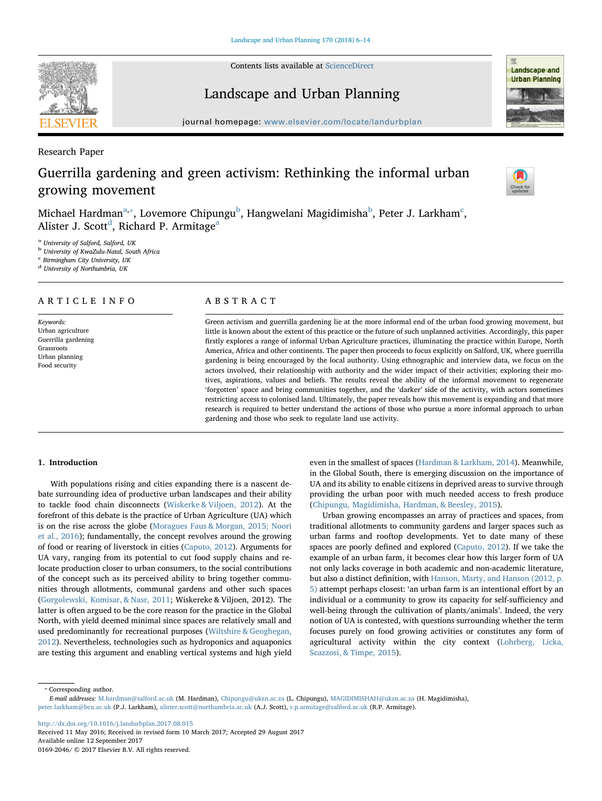Contents lists available at [ScienceDirect](http://www.sciencedirect.com/science/journal/01692046)

journal homepage: [www.elsevier.com/locate/landurbplan](http://www.elsevier.com/locate/landurbplan)



Research Paper

# Guerrilla gardening and green activism: Rethinking the informal urban growing movement

Mi[c](#page-0-3)hael Hardman $^{\mathrm{a},*}$ , Lovemore Chipungu $^{\mathrm{b}}$  $^{\mathrm{b}}$  $^{\mathrm{b}}$ , Hangwelani Magidimisha $^{\mathrm{b}}$ , Peter J. Larkham $^{\mathrm{c}}$ , Alister J. Scott<sup>[d](#page-0-4)</sup>, Rich[a](#page-0-0)rd P. Armitage<sup>a</sup>

<span id="page-0-0"></span><sup>a</sup> University of Salford, Salford, UK

<span id="page-0-2"></span><sup>b</sup> University of KwaZulu-Natal, South Africa

<span id="page-0-3"></span><sup>c</sup> Birmingham City University, UK

<span id="page-0-4"></span><sup>d</sup> University of Northumbria, UK

## ARTICLE INFO

Keywords: Urban agriculture Guerrilla gardening Grassroots Urban planning Food security

## ABSTRACT

Green activism and guerrilla gardening lie at the more informal end of the urban food growing movement, but little is known about the extent of this practice or the future of such unplanned activities. Accordingly, this paper firstly explores a range of informal Urban Agriculture practices, illuminating the practice within Europe, North America, Africa and other continents. The paper then proceeds to focus explicitly on Salford, UK, where guerrilla gardening is being encouraged by the local authority. Using ethnographic and interview data, we focus on the actors involved, their relationship with authority and the wider impact of their activities; exploring their motives, aspirations, values and beliefs. The results reveal the ability of the informal movement to regenerate 'forgotten' space and bring communities together, and the 'darker' side of the activity, with actors sometimes restricting access to colonised land. Ultimately, the paper reveals how this movement is expanding and that more research is required to better understand the actions of those who pursue a more informal approach to urban gardening and those who seek to regulate land use activity.

#### 1. Introduction

With populations rising and cities expanding there is a nascent debate surrounding idea of productive urban landscapes and their ability to tackle food chain disconnects [\(Wiskerke & Viljoen, 2012\)](#page-8-0). At the forefront of this debate is the practice of Urban Agriculture (UA) which is on the rise across the globe [\(Moragues Faus & Morgan, 2015; Noori](#page-7-0) [et al., 2016](#page-7-0)); fundamentally, the concept revolves around the growing of food or rearing of liverstock in cities [\(Caputo, 2012](#page-7-1)). Arguments for UA vary, ranging from its potential to cut food supply chains and relocate production closer to urban consumers, to the social contributions of the concept such as its perceived ability to bring together communities through allotments, communal gardens and other such spaces ([Gorgolewski, Komisar, & Nasr, 2011;](#page-7-2) Wiskereke & Viljoen, 2012). The latter is often argued to be the core reason for the practice in the Global North, with yield deemed minimal since spaces are relatively small and used predominantly for recreational purposes [\(Wiltshire & Geoghegan,](#page-8-1) [2012\)](#page-8-1). Nevertheless, technologies such as hydroponics and aquaponics are testing this argument and enabling vertical systems and high yield even in the smallest of spaces [\(Hardman & Larkham, 2014](#page-7-3)). Meanwhile, in the Global South, there is emerging discussion on the importance of UA and its ability to enable citizens in deprived areas to survive through providing the urban poor with much needed access to fresh produce ([Chipungu, Magidimisha, Hardman, & Beesley, 2015](#page-7-4)).

Urban growing encompasses an array of practices and spaces, from traditional allotments to community gardens and larger spaces such as urban farms and rooftop developments. Yet to date many of these spaces are poorly defined and explored [\(Caputo, 2012](#page-7-1)). If we take the example of an urban farm, it becomes clear how this larger form of UA not only lacks coverage in both academic and non-academic literature, but also a distinct definition, with [Hanson, Marty, and Hanson \(2012, p.](#page-7-5) [5\)](#page-7-5) attempt perhaps closest: 'an urban farm is an intentional effort by an individual or a community to grow its capacity for self-sufficiency and well-being through the cultivation of plants/animals'. Indeed, the very notion of UA is contested, with questions surrounding whether the term focuses purely on food growing activities or constitutes any form of agricultural activity within the city context [\(Lohrberg, Licka,](#page-7-6) [Scazzosi, & Timpe, 2015\)](#page-7-6).

<span id="page-0-1"></span>⁎ Corresponding author.

E-mail addresses: [M.hardman@salford.ac.uk](mailto:M.hardman@salford.ac.uk) (M. Hardman), [Chipungu@ukzn.ac.za](mailto:Chipungu@ukzn.ac.za) (L. Chipungu), [MAGIDIMISHAH@ukzn.ac.za](mailto:MAGIDIMISHAH@ukzn.ac.za) (H. Magidimisha), [peter.larkham@bcu.ac.uk](mailto:peter.larkham@bcu.ac.uk) (P.J. Larkham), [alister.scott@northumbria.ac.uk](mailto:alister.scott@northumbria.ac.uk) (A.J. Scott), [r.p.armitage@salford.ac.uk](mailto:r.p.armitage@salford.ac.uk) (R.P. Armitage).

<http://dx.doi.org/10.1016/j.landurbplan.2017.08.015>

Received 11 May 2016; Received in revised form 10 March 2017; Accepted 29 August 2017 Available online 12 September 2017

0169-2046/ © 2017 Elsevier B.V. All rights reserved.





[T](http://crossmark.crossref.org/dialog/?doi=10.1016/j.landurbplan.2017.08.015&domain=pdf)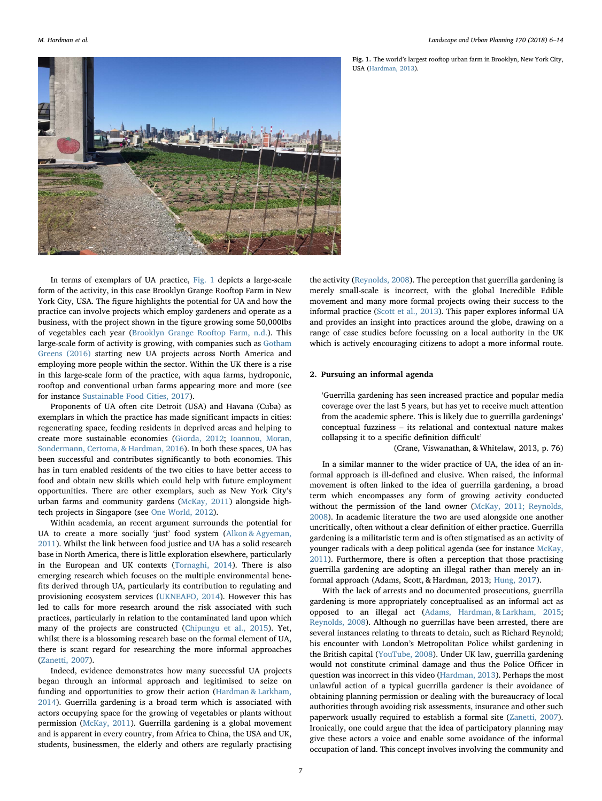<span id="page-1-0"></span>

Fig. 1. The world's largest rooftop urban farm in Brooklyn, New York City, USA ([Hardman, 2013](#page-7-21)).

In terms of exemplars of UA practice, [Fig. 1](#page-1-0) depicts a large-scale form of the activity, in this case Brooklyn Grange Rooftop Farm in New York City, USA. The figure highlights the potential for UA and how the practice can involve projects which employ gardeners and operate as a business, with the project shown in the figure growing some 50,000lbs of vegetables each year ([Brooklyn Grange Rooftop Farm, n.d.\)](#page-7-7). This large-scale form of activity is growing, with companies such as [Gotham](#page-7-8) [Greens \(2016\)](#page-7-8) starting new UA projects across North America and employing more people within the sector. Within the UK there is a rise in this large-scale form of the practice, with aqua farms, hydroponic, rooftop and conventional urban farms appearing more and more (see for instance [Sustainable Food Cities, 2017\)](#page-7-9).

Proponents of UA often cite Detroit (USA) and Havana (Cuba) as exemplars in which the practice has made significant impacts in cities: regenerating space, feeding residents in deprived areas and helping to create more sustainable economies [\(Giorda, 2012;](#page-7-10) [Ioannou, Moran,](#page-7-11) [Sondermann, Certoma, & Hardman, 2016](#page-7-11)). In both these spaces, UA has been successful and contributes significantly to both economies. This has in turn enabled residents of the two cities to have better access to food and obtain new skills which could help with future employment opportunities. There are other exemplars, such as New York City's urban farms and community gardens [\(McKay, 2011\)](#page-7-12) alongside hightech projects in Singapore (see [One World, 2012](#page-7-13)).

Within academia, an recent argument surrounds the potential for UA to create a more socially 'just' food system ([Alkon & Agyeman,](#page-7-14) [2011\)](#page-7-14). Whilst the link between food justice and UA has a solid research base in North America, there is little exploration elsewhere, particularly in the European and UK contexts [\(Tornaghi, 2014\)](#page-7-15). There is also emerging research which focuses on the multiple environmental benefits derived through UA, particularly its contribution to regulating and provisioning ecosystem services ([UKNEAFO, 2014\)](#page-7-16). However this has led to calls for more research around the risk associated with such practices, particularly in relation to the contaminated land upon which many of the projects are constructed [\(Chipungu et al., 2015](#page-7-4)). Yet, whilst there is a blossoming research base on the formal element of UA, there is scant regard for researching the more informal approaches ([Zanetti, 2007](#page-8-2)).

Indeed, evidence demonstrates how many successful UA projects began through an informal approach and legitimised to seize on funding and opportunities to grow their action ([Hardman & Larkham,](#page-7-3) [2014\)](#page-7-3). Guerrilla gardening is a broad term which is associated with actors occupying space for the growing of vegetables or plants without permission [\(McKay, 2011](#page-7-12)). Guerrilla gardening is a global movement and is apparent in every country, from Africa to China, the USA and UK, students, businessmen, the elderly and others are regularly practising

the activity [\(Reynolds, 2008](#page-7-17)). The perception that guerrilla gardening is merely small-scale is incorrect, with the global Incredible Edible movement and many more formal projects owing their success to the informal practice [\(Scott et al., 2013\)](#page-7-18). This paper explores informal UA and provides an insight into practices around the globe, drawing on a range of case studies before focussing on a local authority in the UK which is actively encouraging citizens to adopt a more informal route.

#### 2. Pursuing an informal agenda

'Guerrilla gardening has seen increased practice and popular media coverage over the last 5 years, but has yet to receive much attention from the academic sphere. This is likely due to guerrilla gardenings' conceptual fuzziness – its relational and contextual nature makes collapsing it to a specific definition difficult'

(Crane, Viswanathan, & Whitelaw, 2013, p. 76)

In a similar manner to the wider practice of UA, the idea of an informal approach is ill-defined and elusive. When raised, the informal movement is often linked to the idea of guerrilla gardening, a broad term which encompasses any form of growing activity conducted without the permission of the land owner [\(McKay, 2011; Reynolds,](#page-7-12) [2008\)](#page-7-12). In academic literature the two are used alongside one another uncritically, often without a clear definition of either practice. Guerrilla gardening is a militaristic term and is often stigmatised as an activity of younger radicals with a deep political agenda (see for instance [McKay,](#page-7-12) [2011\)](#page-7-12). Furthermore, there is often a perception that those practising guerrilla gardening are adopting an illegal rather than merely an informal approach (Adams, Scott, & Hardman, 2013; [Hung, 2017\)](#page-7-19).

With the lack of arrests and no documented prosecutions, guerrilla gardening is more appropriately conceptualised as an informal act as opposed to an illegal act ([Adams, Hardman, & Larkham, 2015](#page-7-20); [Reynolds, 2008\)](#page-7-17). Although no guerrillas have been arrested, there are several instances relating to threats to detain, such as Richard Reynold; his encounter with London's Metropolitan Police whilst gardening in the British capital ([YouTube, 2008](#page-8-3)). Under UK law, guerrilla gardening would not constitute criminal damage and thus the Police Officer in question was incorrect in this video [\(Hardman, 2013\)](#page-7-21). Perhaps the most unlawful action of a typical guerrilla gardener is their avoidance of obtaining planning permission or dealing with the bureaucracy of local authorities through avoiding risk assessments, insurance and other such paperwork usually required to establish a formal site [\(Zanetti, 2007](#page-8-2)). Ironically, one could argue that the idea of participatory planning may give these actors a voice and enable some avoidance of the informal occupation of land. This concept involves involving the community and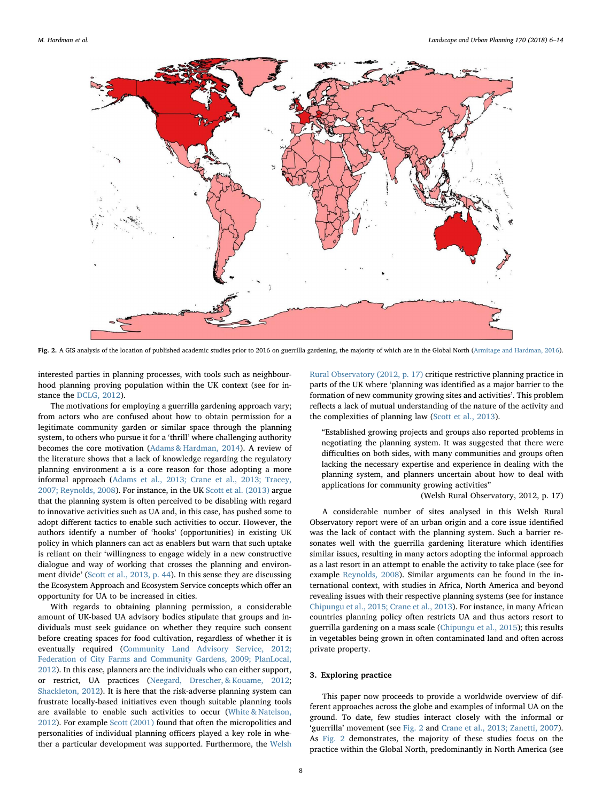<span id="page-2-0"></span>

Fig. 2. A GIS analysis of the location of published academic studies prior to 2016 on guerrilla gardening, the majority of which are in the Global North ([Armitage and Hardman, 2016](#page-7-31)).

interested parties in planning processes, with tools such as neighbourhood planning proving population within the UK context (see for instance the [DCLG, 2012](#page-7-22)).

The motivations for employing a guerrilla gardening approach vary; from actors who are confused about how to obtain permission for a legitimate community garden or similar space through the planning system, to others who pursue it for a 'thrill' where challenging authority becomes the core motivation ([Adams & Hardman, 2014\)](#page-7-23). A review of the literature shows that a lack of knowledge regarding the regulatory planning environment a is a core reason for those adopting a more informal approach [\(Adams et al., 2013; Crane et al., 2013; Tracey,](#page-7-24) [2007; Reynolds, 2008](#page-7-24)). For instance, in the UK [Scott et al. \(2013\)](#page-7-18) argue that the planning system is often perceived to be disabling with regard to innovative activities such as UA and, in this case, has pushed some to adopt different tactics to enable such activities to occur. However, the authors identify a number of 'hooks' (opportunities) in existing UK policy in which planners can act as enablers but warn that such uptake is reliant on their 'willingness to engage widely in a new constructive dialogue and way of working that crosses the planning and environment divide' ([Scott et al., 2013, p. 44](#page-7-18)). In this sense they are discussing the Ecosystem Approach and Ecosystem Service concepts which offer an opportunity for UA to be increased in cities.

With regards to obtaining planning permission, a considerable amount of UK-based UA advisory bodies stipulate that groups and individuals must seek guidance on whether they require such consent before creating spaces for food cultivation, regardless of whether it is eventually required ([Community Land Advisory Service, 2012;](#page-7-25) [Federation of City Farms and Community Gardens, 2009; PlanLocal,](#page-7-25) [2012\)](#page-7-25). In this case, planners are the individuals who can either support, or restrict, UA practices [\(Neegard, Drescher, & Kouame, 2012](#page-7-26); [Shackleton, 2012\)](#page-7-27). It is here that the risk-adverse planning system can frustrate locally-based initiatives even though suitable planning tools are available to enable such activities to occur ([White & Natelson,](#page-8-4) [2012\)](#page-8-4). For example [Scott \(2001\)](#page-7-28) found that often the micropolitics and personalities of individual planning officers played a key role in whether a particular development was supported. Furthermore, the [Welsh](#page-7-29)

[Rural Observatory \(2012, p. 17\)](#page-7-29) critique restrictive planning practice in parts of the UK where 'planning was identified as a major barrier to the formation of new community growing sites and activities'. This problem reflects a lack of mutual understanding of the nature of the activity and the complexities of planning law ([Scott et al., 2013\)](#page-7-18).

"Established growing projects and groups also reported problems in negotiating the planning system. It was suggested that there were difficulties on both sides, with many communities and groups often lacking the necessary expertise and experience in dealing with the planning system, and planners uncertain about how to deal with applications for community growing activities"

#### (Welsh Rural Observatory, 2012, p. 17)

A considerable number of sites analysed in this Welsh Rural Observatory report were of an urban origin and a core issue identified was the lack of contact with the planning system. Such a barrier resonates well with the guerrilla gardening literature which identifies similar issues, resulting in many actors adopting the informal approach as a last resort in an attempt to enable the activity to take place (see for example [Reynolds, 2008](#page-7-17)). Similar arguments can be found in the international context, with studies in Africa, North America and beyond revealing issues with their respective planning systems (see for instance [Chipungu et al., 2015; Crane et al., 2013\)](#page-7-4). For instance, in many African countries planning policy often restricts UA and thus actors resort to guerrilla gardening on a mass scale ([Chipungu et al., 2015](#page-7-4)); this results in vegetables being grown in often contaminated land and often across private property.

#### 3. Exploring practice

This paper now proceeds to provide a worldwide overview of different approaches across the globe and examples of informal UA on the ground. To date, few studies interact closely with the informal or 'guerrilla' movement (see [Fig. 2](#page-2-0) and [Crane et al., 2013; Zanetti, 2007](#page-7-30)). As [Fig. 2](#page-2-0) demonstrates, the majority of these studies focus on the practice within the Global North, predominantly in North America (see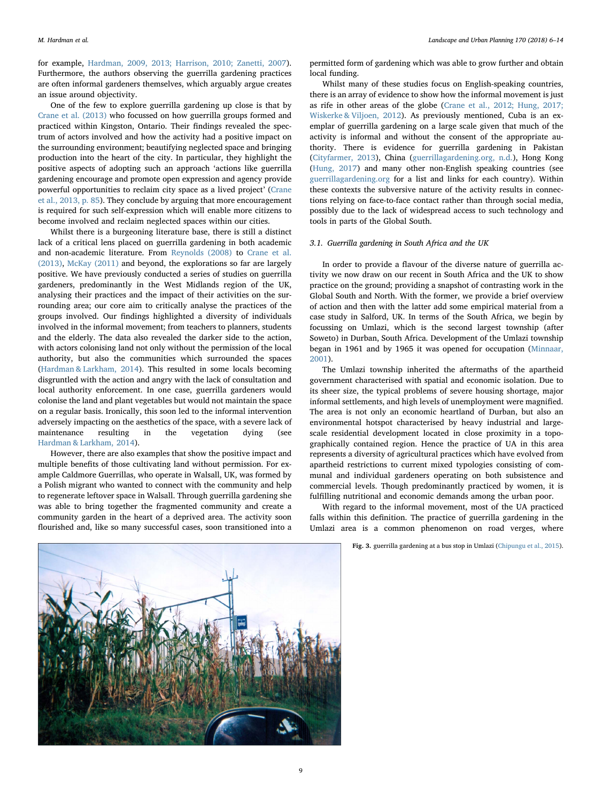for example, [Hardman, 2009, 2013; Harrison, 2010; Zanetti, 2007](#page-7-32)). Furthermore, the authors observing the guerrilla gardening practices are often informal gardeners themselves, which arguably argue creates an issue around objectivity.

One of the few to explore guerrilla gardening up close is that by [Crane et al. \(2013\)](#page-7-30) who focussed on how guerrilla groups formed and practiced within Kingston, Ontario. Their findings revealed the spectrum of actors involved and how the activity had a positive impact on the surrounding environment; beautifying neglected space and bringing production into the heart of the city. In particular, they highlight the positive aspects of adopting such an approach 'actions like guerrilla gardening encourage and promote open expression and agency provide powerful opportunities to reclaim city space as a lived project' [\(Crane](#page-7-30) [et al., 2013, p. 85\)](#page-7-30). They conclude by arguing that more encouragement is required for such self-expression which will enable more citizens to become involved and reclaim neglected spaces within our cities.

Whilst there is a burgeoning literature base, there is still a distinct lack of a critical lens placed on guerrilla gardening in both academic and non-academic literature. From [Reynolds \(2008\)](#page-7-17) to [Crane et al.](#page-7-30) [\(2013\),](#page-7-30) [McKay \(2011\)](#page-7-12) and beyond, the explorations so far are largely positive. We have previously conducted a series of studies on guerrilla gardeners, predominantly in the West Midlands region of the UK, analysing their practices and the impact of their activities on the surrounding area; our core aim to critically analyse the practices of the groups involved. Our findings highlighted a diversity of individuals involved in the informal movement; from teachers to planners, students and the elderly. The data also revealed the darker side to the action, with actors colonising land not only without the permission of the local authority, but also the communities which surrounded the spaces ([Hardman & Larkham, 2014](#page-7-3)). This resulted in some locals becoming disgruntled with the action and angry with the lack of consultation and local authority enforcement. In one case, guerrilla gardeners would colonise the land and plant vegetables but would not maintain the space on a regular basis. Ironically, this soon led to the informal intervention adversely impacting on the aesthetics of the space, with a severe lack of maintenance resulting in the vegetation dying [Hardman & Larkham, 2014](#page-7-3)).

However, there are also examples that show the positive impact and multiple benefits of those cultivating land without permission. For example Caldmore Guerrillas, who operate in Walsall, UK, was formed by a Polish migrant who wanted to connect with the community and help to regenerate leftover space in Walsall. Through guerrilla gardening she was able to bring together the fragmented community and create a community garden in the heart of a deprived area. The activity soon flourished and, like so many successful cases, soon transitioned into a

permitted form of gardening which was able to grow further and obtain local funding.

Whilst many of these studies focus on English-speaking countries, there is an array of evidence to show how the informal movement is just as rife in other areas of the globe [\(Crane et al., 2012; Hung, 2017;](#page-7-19) [Wiskerke & Viljoen, 2012](#page-7-19)). As previously mentioned, Cuba is an exemplar of guerrilla gardening on a large scale given that much of the activity is informal and without the consent of the appropriate authority. There is evidence for guerrilla gardening in Pakistan ([Cityfarmer, 2013\)](#page-7-33), China [\(guerrillagardening.org, n.d.](#page-7-34)), Hong Kong ([Hung, 2017](#page-7-19)) and many other non-English speaking countries (see [guerrillagardening.org](http://guerrillagardening.org) for a list and links for each country). Within these contexts the subversive nature of the activity results in connections relying on face-to-face contact rather than through social media, possibly due to the lack of widespread access to such technology and tools in parts of the Global South.

## 3.1. Guerrilla gardening in South Africa and the UK

In order to provide a flavour of the diverse nature of guerrilla activity we now draw on our recent in South Africa and the UK to show practice on the ground; providing a snapshot of contrasting work in the Global South and North. With the former, we provide a brief overview of action and then with the latter add some empirical material from a case study in Salford, UK. In terms of the South Africa, we begin by focussing on Umlazi, which is the second largest township (after Soweto) in Durban, South Africa. Development of the Umlazi township began in 1961 and by 1965 it was opened for occupation ([Minnaar,](#page-7-35) [2001\)](#page-7-35).

The Umlazi township inherited the aftermaths of the apartheid government characterised with spatial and economic isolation. Due to its sheer size, the typical problems of severe housing shortage, major informal settlements, and high levels of unemployment were magnified. The area is not only an economic heartland of Durban, but also an environmental hotspot characterised by heavy industrial and largescale residential development located in close proximity in a topographically contained region. Hence the practice of UA in this area represents a diversity of agricultural practices which have evolved from apartheid restrictions to current mixed typologies consisting of communal and individual gardeners operating on both subsistence and commercial levels. Though predominantly practiced by women, it is fulfilling nutritional and economic demands among the urban poor.

With regard to the informal movement, most of the UA practiced falls within this definition. The practice of guerrilla gardening in the Umlazi area is a common phenomenon on road verges, where

Fig. 3. guerrilla gardening at a bus stop in Umlazi ([Chipungu et al., 2015](#page-7-4)).

<span id="page-3-0"></span>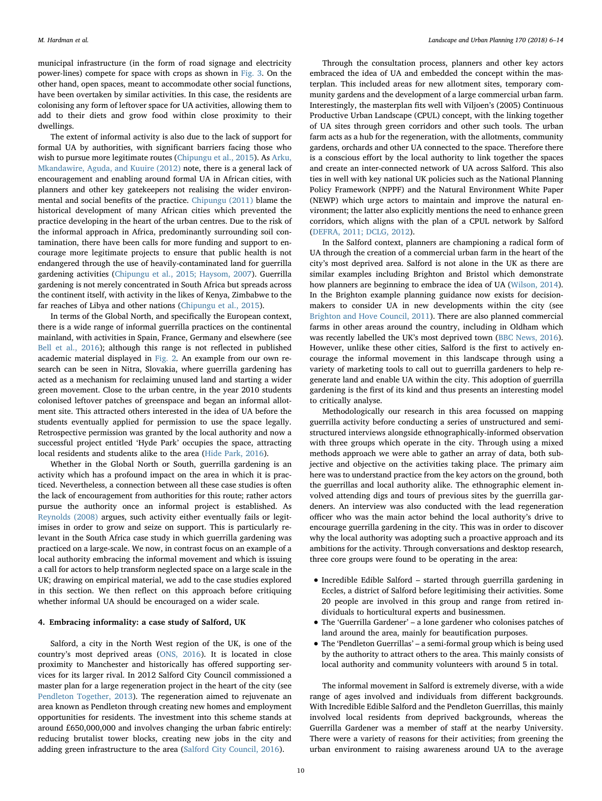municipal infrastructure (in the form of road signage and electricity power-lines) compete for space with crops as shown in [Fig. 3](#page-3-0). On the other hand, open spaces, meant to accommodate other social functions, have been overtaken by similar activities. In this case, the residents are colonising any form of leftover space for UA activities, allowing them to add to their diets and grow food within close proximity to their dwellings.

The extent of informal activity is also due to the lack of support for formal UA by authorities, with significant barriers facing those who wish to pursue more legitimate routes [\(Chipungu et al., 2015](#page-7-4)). As [Arku,](#page-7-36) [Mkandawire, Aguda, and Kuuire \(2012\)](#page-7-36) note, there is a general lack of encouragement and enabling around formal UA in African cities, with planners and other key gatekeepers not realising the wider environmental and social benefits of the practice. [Chipungu \(2011\)](#page-7-37) blame the historical development of many African cities which prevented the practice developing in the heart of the urban centres. Due to the risk of the informal approach in Africa, predominantly surrounding soil contamination, there have been calls for more funding and support to encourage more legitimate projects to ensure that public health is not endangered through the use of heavily-contaminated land for guerrilla gardening activities ([Chipungu et al., 2015; Haysom, 2007](#page-7-4)). Guerrilla gardening is not merely concentrated in South Africa but spreads across the continent itself, with activity in the likes of Kenya, Zimbabwe to the far reaches of Libya and other nations [\(Chipungu et al., 2015\)](#page-7-4).

In terms of the Global North, and specifically the European context, there is a wide range of informal guerrilla practices on the continental mainland, with activities in Spain, France, Germany and elsewhere (see [Bell et al., 2016](#page-7-38)); although this range is not reflected in published academic material displayed in [Fig. 2](#page-2-0). An example from our own research can be seen in Nitra, Slovakia, where guerrilla gardening has acted as a mechanism for reclaiming unused land and starting a wider green movement. Close to the urban centre, in the year 2010 students colonised leftover patches of greenspace and began an informal allotment site. This attracted others interested in the idea of UA before the students eventually applied for permission to use the space legally. Retrospective permission was granted by the local authority and now a successful project entitled 'Hyde Park' occupies the space, attracting local residents and students alike to the area ([Hide Park, 2016](#page-7-39)).

Whether in the Global North or South, guerrilla gardening is an activity which has a profound impact on the area in which it is practiced. Nevertheless, a connection between all these case studies is often the lack of encouragement from authorities for this route; rather actors pursue the authority once an informal project is established. As [Reynolds \(2008\)](#page-7-17) argues, such activity either eventually fails or legitimises in order to grow and seize on support. This is particularly relevant in the South Africa case study in which guerrilla gardening was practiced on a large-scale. We now, in contrast focus on an example of a local authority embracing the informal movement and which is issuing a call for actors to help transform neglected space on a large scale in the UK; drawing on empirical material, we add to the case studies explored in this section. We then reflect on this approach before critiquing whether informal UA should be encouraged on a wider scale.

#### 4. Embracing informality: a case study of Salford, UK

Salford, a city in the North West region of the UK, is one of the country's most deprived areas [\(ONS, 2016\)](#page-7-40). It is located in close proximity to Manchester and historically has offered supporting services for its larger rival. In 2012 Salford City Council commissioned a master plan for a large regeneration project in the heart of the city (see [Pendleton Together, 2013](#page-7-41)). The regeneration aimed to rejuvenate an area known as Pendleton through creating new homes and employment opportunities for residents. The investment into this scheme stands at around £650,000,000 and involves changing the urban fabric entirely: reducing brutalist tower blocks, creating new jobs in the city and adding green infrastructure to the area ([Salford City Council, 2016](#page-7-42)).

Through the consultation process, planners and other key actors embraced the idea of UA and embedded the concept within the masterplan. This included areas for new allotment sites, temporary community gardens and the development of a large commercial urban farm. Interestingly, the masterplan fits well with Viljoen's (2005) Continuous Productive Urban Landscape (CPUL) concept, with the linking together of UA sites through green corridors and other such tools. The urban farm acts as a hub for the regeneration, with the allotments, community gardens, orchards and other UA connected to the space. Therefore there is a conscious effort by the local authority to link together the spaces and create an inter-connected network of UA across Salford. This also ties in well with key national UK policies such as the National Planning Policy Framework (NPPF) and the Natural Environment White Paper (NEWP) which urge actors to maintain and improve the natural environment; the latter also explicitly mentions the need to enhance green corridors, which aligns with the plan of a CPUL network by Salford ([DEFRA, 2011; DCLG, 2012\)](#page-7-43).

In the Salford context, planners are championing a radical form of UA through the creation of a commercial urban farm in the heart of the city's most deprived area. Salford is not alone in the UK as there are similar examples including Brighton and Bristol which demonstrate how planners are beginning to embrace the idea of UA ([Wilson, 2014](#page-8-5)). In the Brighton example planning guidance now exists for decisionmakers to consider UA in new developments within the city (see [Brighton and Hove Council, 2011](#page-7-44)). There are also planned commercial farms in other areas around the country, including in Oldham which was recently labelled the UK's most deprived town [\(BBC News, 2016](#page-7-45)). However, unlike these other cities, Salford is the first to actively encourage the informal movement in this landscape through using a variety of marketing tools to call out to guerrilla gardeners to help regenerate land and enable UA within the city. This adoption of guerrilla gardening is the first of its kind and thus presents an interesting model to critically analyse.

Methodologically our research in this area focussed on mapping guerrilla activity before conducting a series of unstructured and semistructured interviews alongside ethnographically-informed observation with three groups which operate in the city. Through using a mixed methods approach we were able to gather an array of data, both subjective and objective on the activities taking place. The primary aim here was to understand practice from the key actors on the ground, both the guerrillas and local authority alike. The ethnographic element involved attending digs and tours of previous sites by the guerrilla gardeners. An interview was also conducted with the lead regeneration officer who was the main actor behind the local authority's drive to encourage guerrilla gardening in the city. This was in order to discover why the local authority was adopting such a proactive approach and its ambitions for the activity. Through conversations and desktop research, three core groups were found to be operating in the area:

- Incredible Edible Salford started through guerrilla gardening in Eccles, a district of Salford before legitimising their activities. Some 20 people are involved in this group and range from retired individuals to horticultural experts and businessmen.
- The 'Guerrilla Gardener' a lone gardener who colonises patches of land around the area, mainly for beautification purposes.
- The 'Pendleton Guerrillas' a semi-formal group which is being used by the authority to attract others to the area. This mainly consists of local authority and community volunteers with around 5 in total.

The informal movement in Salford is extremely diverse, with a wide range of ages involved and individuals from different backgrounds. With Incredible Edible Salford and the Pendleton Guerrillas, this mainly involved local residents from deprived backgrounds, whereas the Guerrilla Gardener was a member of staff at the nearby University. There were a variety of reasons for their activities; from greening the urban environment to raising awareness around UA to the average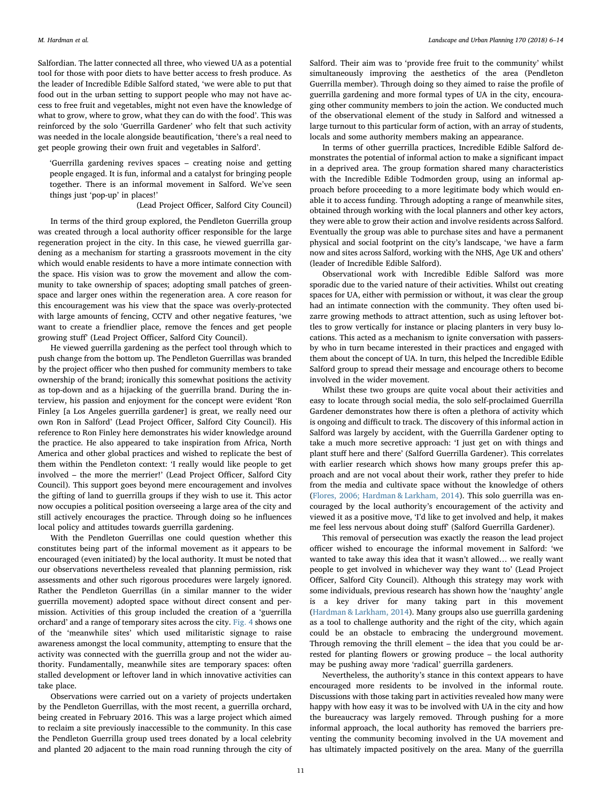Salfordian. The latter connected all three, who viewed UA as a potential tool for those with poor diets to have better access to fresh produce. As the leader of Incredible Edible Salford stated, 'we were able to put that food out in the urban setting to support people who may not have access to free fruit and vegetables, might not even have the knowledge of what to grow, where to grow, what they can do with the food'. This was reinforced by the solo 'Guerrilla Gardener' who felt that such activity was needed in the locale alongside beautification, 'there's a real need to get people growing their own fruit and vegetables in Salford'.

'Guerrilla gardening revives spaces – creating noise and getting people engaged. It is fun, informal and a catalyst for bringing people together. There is an informal movement in Salford. We've seen things just 'pop-up' in places!'

#### (Lead Project Officer, Salford City Council)

In terms of the third group explored, the Pendleton Guerrilla group was created through a local authority officer responsible for the large regeneration project in the city. In this case, he viewed guerrilla gardening as a mechanism for starting a grassroots movement in the city which would enable residents to have a more intimate connection with the space. His vision was to grow the movement and allow the community to take ownership of spaces; adopting small patches of greenspace and larger ones within the regeneration area. A core reason for this encouragement was his view that the space was overly-protected with large amounts of fencing, CCTV and other negative features, 'we want to create a friendlier place, remove the fences and get people growing stuff' (Lead Project Officer, Salford City Council).

He viewed guerrilla gardening as the perfect tool through which to push change from the bottom up. The Pendleton Guerrillas was branded by the project officer who then pushed for community members to take ownership of the brand; ironically this somewhat positions the activity as top-down and as a hijacking of the guerrilla brand. During the interview, his passion and enjoyment for the concept were evident 'Ron Finley [a Los Angeles guerrilla gardener] is great, we really need our own Ron in Salford' (Lead Project Officer, Salford City Council). His reference to Ron Finley here demonstrates his wider knowledge around the practice. He also appeared to take inspiration from Africa, North America and other global practices and wished to replicate the best of them within the Pendleton context: 'I really would like people to get involved – the more the merrier!' (Lead Project Officer, Salford City Council). This support goes beyond mere encouragement and involves the gifting of land to guerrilla groups if they wish to use it. This actor now occupies a political position overseeing a large area of the city and still actively encourages the practice. Through doing so he influences local policy and attitudes towards guerrilla gardening.

With the Pendleton Guerrillas one could question whether this constitutes being part of the informal movement as it appears to be encouraged (even initiated) by the local authority. It must be noted that our observations nevertheless revealed that planning permission, risk assessments and other such rigorous procedures were largely ignored. Rather the Pendleton Guerrillas (in a similar manner to the wider guerrilla movement) adopted space without direct consent and permission. Activities of this group included the creation of a 'guerrilla orchard' and a range of temporary sites across the city. [Fig. 4](#page-6-0) shows one of the 'meanwhile sites' which used militaristic signage to raise awareness amongst the local community, attempting to ensure that the activity was connected with the guerrilla group and not the wider authority. Fundamentally, meanwhile sites are temporary spaces: often stalled development or leftover land in which innovative activities can take place.

Observations were carried out on a variety of projects undertaken by the Pendleton Guerrillas, with the most recent, a guerrilla orchard, being created in February 2016. This was a large project which aimed to reclaim a site previously inaccessible to the community. In this case the Pendleton Guerrilla group used trees donated by a local celebrity and planted 20 adjacent to the main road running through the city of Salford. Their aim was to 'provide free fruit to the community' whilst simultaneously improving the aesthetics of the area (Pendleton Guerrilla member). Through doing so they aimed to raise the profile of guerrilla gardening and more formal types of UA in the city, encouraging other community members to join the action. We conducted much of the observational element of the study in Salford and witnessed a large turnout to this particular form of action, with an array of students, locals and some authority members making an appearance.

In terms of other guerrilla practices, Incredible Edible Salford demonstrates the potential of informal action to make a significant impact in a deprived area. The group formation shared many characteristics with the Incredible Edible Todmorden group, using an informal approach before proceeding to a more legitimate body which would enable it to access funding. Through adopting a range of meanwhile sites, obtained through working with the local planners and other key actors, they were able to grow their action and involve residents across Salford. Eventually the group was able to purchase sites and have a permanent physical and social footprint on the city's landscape, 'we have a farm now and sites across Salford, working with the NHS, Age UK and others' (leader of Incredible Edible Salford).

Observational work with Incredible Edible Salford was more sporadic due to the varied nature of their activities. Whilst out creating spaces for UA, either with permission or without, it was clear the group had an intimate connection with the community. They often used bizarre growing methods to attract attention, such as using leftover bottles to grow vertically for instance or placing planters in very busy locations. This acted as a mechanism to ignite conversation with passersby who in turn became interested in their practices and engaged with them about the concept of UA. In turn, this helped the Incredible Edible Salford group to spread their message and encourage others to become involved in the wider movement.

Whilst these two groups are quite vocal about their activities and easy to locate through social media, the solo self-proclaimed Guerrilla Gardener demonstrates how there is often a plethora of activity which is ongoing and difficult to track. The discovery of this informal action in Salford was largely by accident, with the Guerrilla Gardener opting to take a much more secretive approach: 'I just get on with things and plant stuff here and there' (Salford Guerrilla Gardener). This correlates with earlier research which shows how many groups prefer this approach and are not vocal about their work, rather they prefer to hide from the media and cultivate space without the knowledge of others ([Flores, 2006; Hardman & Larkham, 2014\)](#page-7-46). This solo guerrilla was encouraged by the local authority's encouragement of the activity and viewed it as a positive move, 'I'd like to get involved and help, it makes me feel less nervous about doing stuff' (Salford Guerrilla Gardener).

This removal of persecution was exactly the reason the lead project officer wished to encourage the informal movement in Salford: 'we wanted to take away this idea that it wasn't allowed… we really want people to get involved in whichever way they want to' (Lead Project Officer, Salford City Council). Although this strategy may work with some individuals, previous research has shown how the 'naughty' angle is a key driver for many taking part in this movement ([Hardman & Larkham, 2014\)](#page-7-3). Many groups also use guerrilla gardening as a tool to challenge authority and the right of the city, which again could be an obstacle to embracing the underground movement. Through removing the thrill element – the idea that you could be arrested for planting flowers or growing produce – the local authority may be pushing away more 'radical' guerrilla gardeners.

Nevertheless, the authority's stance in this context appears to have encouraged more residents to be involved in the informal route. Discussions with those taking part in activities revealed how many were happy with how easy it was to be involved with UA in the city and how the bureaucracy was largely removed. Through pushing for a more informal approach, the local authority has removed the barriers preventing the community becoming involved in the UA movement and has ultimately impacted positively on the area. Many of the guerrilla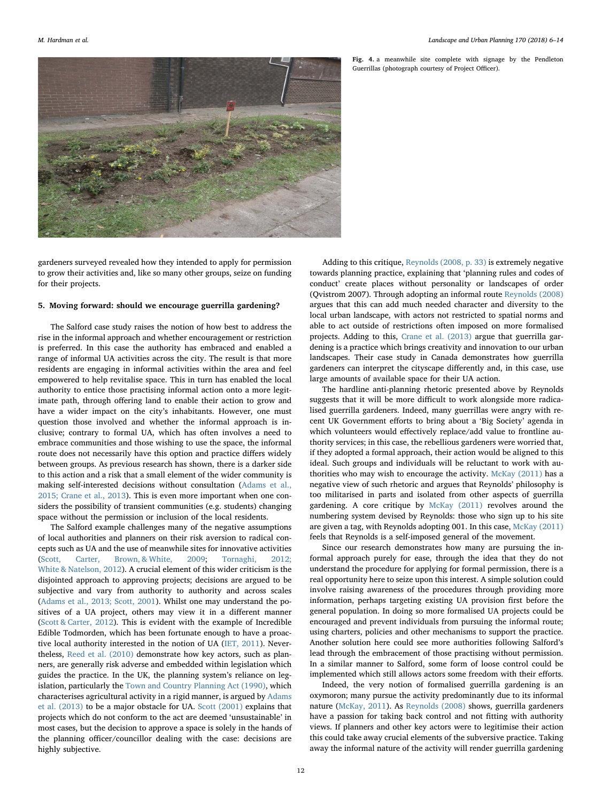<span id="page-6-0"></span>

Fig. 4. a meanwhile site complete with signage by the Pendleton Guerrillas (photograph courtesy of Project Officer).

gardeners surveyed revealed how they intended to apply for permission to grow their activities and, like so many other groups, seize on funding for their projects.

### 5. Moving forward: should we encourage guerrilla gardening?

The Salford case study raises the notion of how best to address the rise in the informal approach and whether encouragement or restriction is preferred. In this case the authority has embraced and enabled a range of informal UA activities across the city. The result is that more residents are engaging in informal activities within the area and feel empowered to help revitalise space. This in turn has enabled the local authority to entice those practising informal action onto a more legitimate path, through offering land to enable their action to grow and have a wider impact on the city's inhabitants. However, one must question those involved and whether the informal approach is inclusive; contrary to formal UA, which has often involves a need to embrace communities and those wishing to use the space, the informal route does not necessarily have this option and practice differs widely between groups. As previous research has shown, there is a darker side to this action and a risk that a small element of the wider community is making self-interested decisions without consultation [\(Adams et al.,](#page-7-20) [2015; Crane et al., 2013\)](#page-7-20). This is even more important when one considers the possibility of transient communities (e.g. students) changing space without the permission or inclusion of the local residents.

The Salford example challenges many of the negative assumptions of local authorities and planners on their risk aversion to radical concepts such as UA and the use of meanwhile sites for innovative activities ([Scott, Carter, Brown, & White, 2009](#page-7-47); [Tornaghi, 2012;](#page-7-48) [White & Natelson, 2012](#page-7-48)). A crucial element of this wider criticism is the disjointed approach to approving projects; decisions are argued to be subjective and vary from authority to authority and across scales ([Adams et al., 2013; Scott, 2001](#page-7-24)). Whilst one may understand the positives of a UA project, others may view it in a different manner ([Scott & Carter, 2012](#page-7-49)). This is evident with the example of Incredible Edible Todmorden, which has been fortunate enough to have a proactive local authority interested in the notion of UA [\(IET, 2011](#page-7-50)). Nevertheless, [Reed et al. \(2010\)](#page-7-51) demonstrate how key actors, such as planners, are generally risk adverse and embedded within legislation which guides the practice. In the UK, the planning system's reliance on legislation, particularly the [Town and Country Planning Act \(1990\),](#page-7-52) which characterises agricultural activity in a rigid manner, is argued by [Adams](#page-7-24) [et al. \(2013\)](#page-7-24) to be a major obstacle for UA. [Scott \(2001\)](#page-7-28) explains that projects which do not conform to the act are deemed 'unsustainable' in most cases, but the decision to approve a space is solely in the hands of the planning officer/councillor dealing with the case: decisions are highly subjective.

Adding to this critique, [Reynolds \(2008, p. 33\)](#page-7-17) is extremely negative towards planning practice, explaining that 'planning rules and codes of conduct' create places without personality or landscapes of order (Qvistrom 2007). Through adopting an informal route [Reynolds \(2008\)](#page-7-17) argues that this can add much needed character and diversity to the local urban landscape, with actors not restricted to spatial norms and able to act outside of restrictions often imposed on more formalised projects. Adding to this, [Crane et al. \(2013\)](#page-7-30) argue that guerrilla gardening is a practice which brings creativity and innovation to our urban landscapes. Their case study in Canada demonstrates how guerrilla gardeners can interpret the cityscape differently and, in this case, use large amounts of available space for their UA action.

The hardline anti-planning rhetoric presented above by Reynolds suggests that it will be more difficult to work alongside more radicalised guerrilla gardeners. Indeed, many guerrillas were angry with recent UK Government efforts to bring about a 'Big Society' agenda in which volunteers would effectively replace/add value to frontline authority services; in this case, the rebellious gardeners were worried that, if they adopted a formal approach, their action would be aligned to this ideal. Such groups and individuals will be reluctant to work with authorities who may wish to encourage the activity. [McKay \(2011\)](#page-7-12) has a negative view of such rhetoric and argues that Reynolds' philosophy is too militarised in parts and isolated from other aspects of guerrilla gardening. A core critique by [McKay \(2011\)](#page-7-12) revolves around the numbering system devised by Reynolds: those who sign up to his site are given a tag, with Reynolds adopting 001. In this case, [McKay \(2011\)](#page-7-12) feels that Reynolds is a self-imposed general of the movement.

Since our research demonstrates how many are pursuing the informal approach purely for ease, through the idea that they do not understand the procedure for applying for formal permission, there is a real opportunity here to seize upon this interest. A simple solution could involve raising awareness of the procedures through providing more information, perhaps targeting existing UA provision first before the general population. In doing so more formalised UA projects could be encouraged and prevent individuals from pursuing the informal route; using charters, policies and other mechanisms to support the practice. Another solution here could see more authorities following Salford's lead through the embracement of those practising without permission. In a similar manner to Salford, some form of loose control could be implemented which still allows actors some freedom with their efforts.

Indeed, the very notion of formalised guerrilla gardening is an oxymoron; many pursue the activity predominantly due to its informal nature [\(McKay, 2011](#page-7-12)). As [Reynolds \(2008\)](#page-7-17) shows, guerrilla gardeners have a passion for taking back control and not fitting with authority views. If planners and other key actors were to legitimise their action this could take away crucial elements of the subversive practice. Taking away the informal nature of the activity will render guerrilla gardening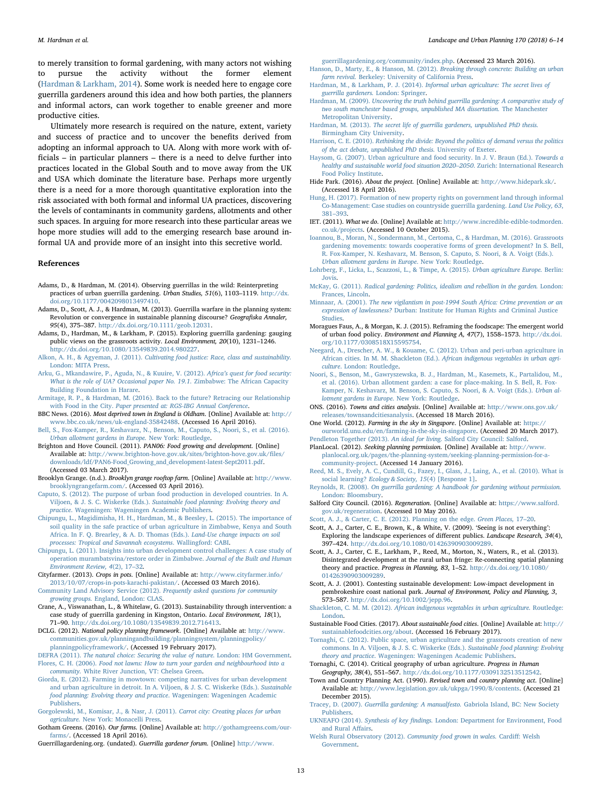to merely transition to formal gardening, with many actors not wishing to pursue the activity without the former element ([Hardman & Larkham, 2014\)](#page-7-3). Some work is needed here to engage core guerrilla gardeners around this idea and how both parties, the planners and informal actors, can work together to enable greener and more productive cities.

Ultimately more research is required on the nature, extent, variety and success of practice and to uncover the benefits derived from adopting an informal approach to UA. Along with more work with officials – in particular planners – there is a need to delve further into practices located in the Global South and to move away from the UK and USA which dominate the literature base. Perhaps more urgently there is a need for a more thorough quantitative exploration into the risk associated with both formal and informal UA practices, discovering the levels of contaminants in community gardens, allotments and other such spaces. In arguing for more research into these particular areas we hope more studies will add to the emerging research base around informal UA and provide more of an insight into this secretive world.

#### References

- <span id="page-7-23"></span>Adams, D., & Hardman, M. (2014). Observing guerrillas in the wild: Reinterpreting practices of urban guerrilla gardening. Urban Studies, 51(6), 1103–1119. [http://dx.](http://dx.doi.org/10.1177/0042098013497410) [doi.org/10.1177/0042098013497410.](http://dx.doi.org/10.1177/0042098013497410)
- <span id="page-7-24"></span>Adams, D., Scott, A. J., & Hardman, M. (2013). Guerrilla warfare in the planning system: Revolution or convergence in sustainable planning discourse? Geografiska Annaler, 95(4), 375–387. [http://dx.doi.org/10.1111/geob.12031.](http://dx.doi.org/10.1111/geob.12031)
- <span id="page-7-20"></span>Adams, D., Hardman, M., & Larkham, P. (2015). Exploring guerrilla gardening: gauging public views on the grassroots activity. Local Environment, 20(10), 1231-1246. [http://dx.doi.org/10.1080/13549839.2014.980227.](http://dx.doi.org/10.1080/13549839.2014.980227)
- <span id="page-7-14"></span>Alkon, A. H., & Agyeman, J. (2011). [Cultivating food justice: Race, class and sustainability.](http://refhub.elsevier.com/S0169-2046(17)30199-8/sbref0020) [London: MITA Press.](http://refhub.elsevier.com/S0169-2046(17)30199-8/sbref0020)
- <span id="page-7-36"></span>[Arku, G., Mkandawire, P., Aguda, N., & Kuuire, V. \(2012\).](http://refhub.elsevier.com/S0169-2046(17)30199-8/sbref0025) Africa's quest for food security: [What is the role of UA? Occasional paper No. 19.1.](http://refhub.elsevier.com/S0169-2046(17)30199-8/sbref0025) Zimbabwe: The African Capacity [Building Foundation in Harare.](http://refhub.elsevier.com/S0169-2046(17)30199-8/sbref0025)
- <span id="page-7-31"></span>[Armitage, R. P., & Hardman, M. \(2016\). Back to the future? Retracing our Relationship](http://refhub.elsevier.com/S0169-2046(17)30199-8/sbref0030) with Food in the City. [Paper presented at: RGS-IBG Annual Conference](http://refhub.elsevier.com/S0169-2046(17)30199-8/sbref0030).
- <span id="page-7-45"></span>BBC News. (2016). Most deprived town in England is Oldham. [Online] Available at: [http://](http://www.bbc.co.uk/news/uk-england-35842488) [www.bbc.co.uk/news/uk-england-35842488](http://www.bbc.co.uk/news/uk-england-35842488). (Accessed 16 April 2016).
- <span id="page-7-38"></span>[Bell, S., Fox-Kamper, R., Keshavarz, N., Benson, M., Caputo, S., Noori, S., et al. \(2016\).](http://refhub.elsevier.com/S0169-2046(17)30199-8/sbref0040) [Urban allotment gardens in Europe.](http://refhub.elsevier.com/S0169-2046(17)30199-8/sbref0040) New York: Routledge.
- <span id="page-7-44"></span>Brighton and Hove Council. (2011). PAN06: Food growing and development. [Online] Available at: [http://www.brighton-hove.gov.uk/sites/brighton-hove.gov.uk/](http://www.brighton-hove.gov.uk/sites/brighton-hove.gov.uk/files/downloads/ldf/PAN6-Food_Growing_and_development-latest-Sept2011.pdf)files/ [downloads/ldf/PAN6-Food\\_Growing\\_and\\_development-latest-Sept2011.pdf](http://www.brighton-hove.gov.uk/sites/brighton-hove.gov.uk/files/downloads/ldf/PAN6-Food_Growing_and_development-latest-Sept2011.pdf). (Accessed 03 March 2017).
- <span id="page-7-7"></span>Brooklyn Grange. (n.d.). Brooklyn grange rooftop farm. [Online] Available at: [http://www.](http://www.brooklyngrangefarm.com/) [brooklyngrangefarm.com/.](http://www.brooklyngrangefarm.com/) (Accessed 03 April 2016).
- <span id="page-7-1"></span>[Caputo, S. \(2012\). The purpose of urban food production in developed countries. In A.](http://refhub.elsevier.com/S0169-2046(17)30199-8/sbref0055) Viljoen, & J. S. C. Wiskerke (Eds.). [Sustainable food planning: Evolving theory and](http://refhub.elsevier.com/S0169-2046(17)30199-8/sbref0055) practice[. Wageningen: Wageningen Academic Publishers.](http://refhub.elsevier.com/S0169-2046(17)30199-8/sbref0055)
- <span id="page-7-4"></span>[Chipungu, L., Magidimisha, H. H., Hardman, M., & Beesley, L. \(2015\). The importance of](http://refhub.elsevier.com/S0169-2046(17)30199-8/sbref0060) [soil quality in the safe practice of urban agriculture in Zimbabwe, Kenya and South](http://refhub.elsevier.com/S0169-2046(17)30199-8/sbref0060) [Africa. In F. Q. Brearley, & A. D. Thomas \(Eds.\).](http://refhub.elsevier.com/S0169-2046(17)30199-8/sbref0060) Land-Use change impacts on soil [processes: Tropical and Savannah ecosystems](http://refhub.elsevier.com/S0169-2046(17)30199-8/sbref0060). Wallingford: CABI.
- <span id="page-7-37"></span>[Chipungu, L. \(2011\). Insights into urban development control challenges: A case study of](http://refhub.elsevier.com/S0169-2046(17)30199-8/sbref0065) [operation murambatsvina/restore order in Zimbabwe.](http://refhub.elsevier.com/S0169-2046(17)30199-8/sbref0065) Journal of the Built and Human [Environment Review, 4](http://refhub.elsevier.com/S0169-2046(17)30199-8/sbref0065)(2), 17–32.
- <span id="page-7-33"></span>Cityfarmer. (2013). Crops in pots. [Online] Available at: [http://www.cityfarmer.info/](http://www.cityfarmer.info/2013/10/07/crops-in-pots-karachi-pakistan/) [2013/10/07/crops-in-pots-karachi-pakistan/.](http://www.cityfarmer.info/2013/10/07/crops-in-pots-karachi-pakistan/) (Accessed 03 March 2016).
- <span id="page-7-25"></span>[Community Land Advisory Service \(2012\).](http://refhub.elsevier.com/S0169-2046(17)30199-8/sbref0075) Frequently asked questions for community growing groups. [England, London: CLAS.](http://refhub.elsevier.com/S0169-2046(17)30199-8/sbref0075)
- <span id="page-7-30"></span>Crane, A., Viswanathan, L., & Whitelaw, G. (2013). Sustainability through intervention: a case study of guerrilla gardening in Kingston, Ontario. Local Environment, 18(1), 71–90. <http://dx.doi.org/10.1080/13549839.2012.716413>.
- <span id="page-7-22"></span>DCLG. (2012). National policy planning framework. [Online] Available at: [http://www.](http://www.communities.gov.uk/planningandbuilding/planningsystem/planningpolicy/planningpolicyframework/) [communities.gov.uk/planningandbuilding/planningsystem/planningpolicy/](http://www.communities.gov.uk/planningandbuilding/planningsystem/planningpolicy/planningpolicyframework/) [planningpolicyframework/](http://www.communities.gov.uk/planningandbuilding/planningsystem/planningpolicy/planningpolicyframework/). (Accessed 19 February 2017).

<span id="page-7-46"></span><span id="page-7-43"></span>DEFRA (2011). [The natural choice: Securing the value of nature.](http://refhub.elsevier.com/S0169-2046(17)30199-8/sbref0090) London: HM Government. Flores, C. H. (2006). [Food not lawns: How to turn your garden and neighbourhood into a](http://refhub.elsevier.com/S0169-2046(17)30199-8/sbref0095) community. [White River Junction, VT: Chelsea Green.](http://refhub.elsevier.com/S0169-2046(17)30199-8/sbref0095)

- <span id="page-7-10"></span>[Giorda, E. \(2012\). Farming in mowtown: competing narratives for urban development](http://refhub.elsevier.com/S0169-2046(17)30199-8/sbref0100) [and urban agriculture in detroit. In A. Viljoen, & J. S. C. Wiskerke \(Eds.\).](http://refhub.elsevier.com/S0169-2046(17)30199-8/sbref0100) Sustainable [food planning: Evolving theory and practice](http://refhub.elsevier.com/S0169-2046(17)30199-8/sbref0100). Wageningen: Wageningen Academic [Publishers.](http://refhub.elsevier.com/S0169-2046(17)30199-8/sbref0100)
- <span id="page-7-2"></span>[Gorgolewski, M., Komisar, J., & Nasr, J. \(2011\).](http://refhub.elsevier.com/S0169-2046(17)30199-8/sbref0105) Carrot city: Creating places for urban agriculture. [New York: Monacelli Press](http://refhub.elsevier.com/S0169-2046(17)30199-8/sbref0105).
- <span id="page-7-8"></span>Gotham Greens. (2016). Our farms. [Online] Available at: [http://gothamgreens.com/our](http://gothamgreens.com/our-farms/)[farms/](http://gothamgreens.com/our-farms/). (Accessed 18 April 2016).
- <span id="page-7-34"></span>Guerrillagardening.org. (undated). Guerrilla gardener forum. [Online] [http://www.](http://www.guerrillagardening.org/community/index.php)

[guerrillagardening.org/community/index.php](http://www.guerrillagardening.org/community/index.php). (Accessed 23 March 2016).

- <span id="page-7-5"></span>[Hanson, D., Marty, E., & Hanson, M. \(2012\).](http://refhub.elsevier.com/S0169-2046(17)30199-8/sbref0120) Breaking through concrete: Building an urban farm revival. [Berkeley: University of California Press.](http://refhub.elsevier.com/S0169-2046(17)30199-8/sbref0120)
- <span id="page-7-3"></span>Hardman, M., & Larkham, P. J. (2014). [Informal urban agriculture: The secret lives of](http://refhub.elsevier.com/S0169-2046(17)30199-8/sbref0125) [guerrilla gardeners.](http://refhub.elsevier.com/S0169-2046(17)30199-8/sbref0125) London: Springer.
- <span id="page-7-32"></span>Hardman, M. (2009). [Uncovering the truth behind guerrilla gardening: A comparative study of](http://refhub.elsevier.com/S0169-2046(17)30199-8/sbref0130) [two south manchester based groups, unpublished MA dissertation.](http://refhub.elsevier.com/S0169-2046(17)30199-8/sbref0130) The Manchester [Metropolitan University](http://refhub.elsevier.com/S0169-2046(17)30199-8/sbref0130).
- <span id="page-7-21"></span>Hardman, M. (2013). [The secret life of guerrilla gardeners, unpublished PhD thesis.](http://refhub.elsevier.com/S0169-2046(17)30199-8/sbref0135) [Birmingham City University](http://refhub.elsevier.com/S0169-2046(17)30199-8/sbref0135).
- Harrison, C. E. (2010). [Rethinking the divide: Beyond the politics of demand versus the politics](http://refhub.elsevier.com/S0169-2046(17)30199-8/sbref0140) [of the act debate, unpublished PhD thesis.](http://refhub.elsevier.com/S0169-2046(17)30199-8/sbref0140) University of Exeter.
- [Haysom, G. \(2007\). Urban agriculture and food security. In J. V. Braun \(Ed.\).](http://refhub.elsevier.com/S0169-2046(17)30199-8/sbref0145) Towards a [healthy and sustainable world food situation 2020](http://refhub.elsevier.com/S0169-2046(17)30199-8/sbref0145)–2050. Zurich: International Research [Food Policy Institute.](http://refhub.elsevier.com/S0169-2046(17)30199-8/sbref0145)
- <span id="page-7-39"></span>Hide Park. (2016). About the project. [Online] Available at: [http://www.hidepark.sk/.](http://www.hidepark.sk/) (Accessed 18 April 2016).
- <span id="page-7-19"></span>[Hung, H. \(2017\). Formation of new property rights on government land through informal](http://refhub.elsevier.com/S0169-2046(17)30199-8/sbref0155) [Co-Management: Case studies on countryside guerrilla gardening.](http://refhub.elsevier.com/S0169-2046(17)30199-8/sbref0155) Land Use Policy, 63, 381–[393](http://refhub.elsevier.com/S0169-2046(17)30199-8/sbref0155).
- <span id="page-7-50"></span>IET. (2011). What we do. [Online] Available at: [http://www.incredible-edible-todmorden.](http://www.incredible-edible-todmorden.co.uk/projects) [co.uk/projects](http://www.incredible-edible-todmorden.co.uk/projects). (Accessed 10 October 2015).
- <span id="page-7-11"></span>Ioannou, [B., Moran, N., Sondermann, M., Certoma, C., & Hardman, M. \(2016\). Grassroots](http://refhub.elsevier.com/S0169-2046(17)30199-8/sbref0165) [gardening movements: towards cooperative forms of green development? In S. Bell,](http://refhub.elsevier.com/S0169-2046(17)30199-8/sbref0165) [R. Fox-Kamper, N. Keshavarz, M. Benson, S. Caputo, S. Noori, & A. Voigt \(Eds.\).](http://refhub.elsevier.com/S0169-2046(17)30199-8/sbref0165) [Urban allotment gardens in Europe](http://refhub.elsevier.com/S0169-2046(17)30199-8/sbref0165). New York: Routledge.
- <span id="page-7-6"></span>[Lohrberg, F., Licka, L., Scazzosi, L., & Timpe, A. \(2015\).](http://refhub.elsevier.com/S0169-2046(17)30199-8/sbref0170) Urban agriculture Europe. Berlin: [Jovis.](http://refhub.elsevier.com/S0169-2046(17)30199-8/sbref0170)
- <span id="page-7-12"></span>McKay, G. (2011). [Radical gardening: Politics, idealism and rebellion in the garden.](http://refhub.elsevier.com/S0169-2046(17)30199-8/sbref0175) London: [Frances, Lincoln.](http://refhub.elsevier.com/S0169-2046(17)30199-8/sbref0175)
- <span id="page-7-35"></span>Minnaar, A. (2001). [The new vigilantism in post-1994 South Africa: Crime prevention or an](http://refhub.elsevier.com/S0169-2046(17)30199-8/sbref0180) expression of lawlessness? [Durban: Institute for Human Rights and Criminal Justice](http://refhub.elsevier.com/S0169-2046(17)30199-8/sbref0180) [Studies.](http://refhub.elsevier.com/S0169-2046(17)30199-8/sbref0180)
- <span id="page-7-0"></span>Moragues Faus, A., & Morgan, K. J. (2015). Reframing the foodscape: The emergent world of urban food policy. Environment and Planning A, 47(7), 1558–1573. [http://dx.doi.](http://dx.doi.org/10.1177/0308518X15595754) [org/10.1177/0308518X15595754](http://dx.doi.org/10.1177/0308518X15595754).
- <span id="page-7-26"></span>[Neegard, A., Drescher, A. W., & Kouame, C. \(2012\). Urban and peri-urban agriculture in](http://refhub.elsevier.com/S0169-2046(17)30199-8/sbref0190) African cities. In M. M. Shackleton (Ed.). [African indigenous vegetables in urban agri](http://refhub.elsevier.com/S0169-2046(17)30199-8/sbref0190)culture[. London: Routledge](http://refhub.elsevier.com/S0169-2046(17)30199-8/sbref0190).
- [Noori, S., Benson, M., Gawryszewska, B. J., Hardman, M., Kasemets, K., Partalidou, M.,](http://refhub.elsevier.com/S0169-2046(17)30199-8/sbref0195) [et al. \(2016\). Urban allotment garden: a case for place-making. In S. Bell, R. Fox-](http://refhub.elsevier.com/S0169-2046(17)30199-8/sbref0195)[Kamper, N. Keshavarz, M. Benson, S. Caputo, S. Noori, & A. Voigt \(Eds.\).](http://refhub.elsevier.com/S0169-2046(17)30199-8/sbref0195) Urban al[lotment gardens in Europe](http://refhub.elsevier.com/S0169-2046(17)30199-8/sbref0195). New York: Routledge.
- <span id="page-7-40"></span>ONS. (2016). Towns and cities analysis. [Online] Available at: [http://www.ons.gov.uk/](http://www.ons.gov.uk/releases/townsandcitiesanalysis) [releases/townsandcitiesanalysis](http://www.ons.gov.uk/releases/townsandcitiesanalysis). (Accessed 18 March 2016).
- <span id="page-7-13"></span>One World. (2012). Farming in the sky in Singapore. [Online] Available at: [https://](https://ourworld.unu.edu/en/farming-in-the-sky-in-singapore) [ourworld.unu.edu/en/farming-in-the-sky-in-singapore](https://ourworld.unu.edu/en/farming-in-the-sky-in-singapore). (Accessed 20 March 2017).
- <span id="page-7-41"></span>Pendleton Together (2013). An ideal for living. [Salford City Council: Salford](http://refhub.elsevier.com/S0169-2046(17)30199-8/sbref0210). PlanLocal. (2012). Seeking planning permission. [Online] Available at: [http://www.](http://www.planlocal.org.uk/pages/the-planning-system/seeking-planning-permission-for-a-community-project)
- [planlocal.org.uk/pages/the-planning-system/seeking-planning-permission-for-a](http://www.planlocal.org.uk/pages/the-planning-system/seeking-planning-permission-for-a-community-project)[community-project](http://www.planlocal.org.uk/pages/the-planning-system/seeking-planning-permission-for-a-community-project). (Accessed 14 January 2016).
- <span id="page-7-51"></span>[Reed, M. S., Evely, A. C., Cundill, G., Fazey, I., Glass, J., Laing, A., et al. \(2010\). What is](http://refhub.elsevier.com/S0169-2046(17)30199-8/sbref0220) social learning? [Ecology & Society, 15](http://refhub.elsevier.com/S0169-2046(17)30199-8/sbref0220)(4) [Response 1].
- <span id="page-7-17"></span>Reynolds, R. (2008). [On guerrilla gardening: A handbook for gardening without permission.](http://refhub.elsevier.com/S0169-2046(17)30199-8/sbref0225) [London: Bloomsbury](http://refhub.elsevier.com/S0169-2046(17)30199-8/sbref0225).
- <span id="page-7-42"></span>Salford City Council. (2016). Regeneration. [Online] Available at: [https://www.salford.](https://www.salford.gov.uk/regeneration) [gov.uk/regeneration](https://www.salford.gov.uk/regeneration). (Accessed 10 May 2016).

<span id="page-7-49"></span>

- <span id="page-7-47"></span>[Scott, A. J., & Carter, C. E. \(2012\). Planning on the edge.](http://refhub.elsevier.com/S0169-2046(17)30199-8/sbref0235) *Green Places*, 17–20.<br>Scott, A. J., Carter, C. E., Brown, K., & White, V. (2009). 'Seeing is not everything': Exploring the landscape experiences of different publics. Landscape Research, 34(4), 397–424. <http://dx.doi.org/10.1080/01426390903009289>.
- <span id="page-7-18"></span>Scott, A. J., Carter, C. E., Larkham, P., Reed, M., Morton, N., Waters, R., et al. (2013). Disintegrated development at the rural urban fringe: Re-connecting spatial planning theory and practice. Progress in Planning, 83, 1–52. [http://dx.doi.org/10.1080/](http://dx.doi.org/10.1080/01426390903009289) [01426390903009289.](http://dx.doi.org/10.1080/01426390903009289)
- <span id="page-7-28"></span>Scott, A. J. (2001). Contesting sustainable development: Low-impact development in pembrokeshire coast national park. Journal of Environment, Policy and Planning, 3, 573–587. <http://dx.doi.org/10.1002/jepp.96>.

<span id="page-7-27"></span>Shackleton, C. M. M. (2012). [African indigenous vegetables in urban agriculture.](http://refhub.elsevier.com/S0169-2046(17)30199-8/sbref0255) Routledge: [London.](http://refhub.elsevier.com/S0169-2046(17)30199-8/sbref0255)

<span id="page-7-9"></span>Sustainable Food Cities. (2017). About sustainable food cities. [Online] Available at: [http://](http://sustainablefoodcities.org/about) [sustainablefoodcities.org/about.](http://sustainablefoodcities.org/about) (Accessed 16 February 2017).

<span id="page-7-48"></span>[Tornaghi, C. \(2012\). Public space, urban agriculture and the grassroots creation of new](http://refhub.elsevier.com/S0169-2046(17)30199-8/sbref0265) [commons. In A. Viljoen, & J. S. C. Wiskerke \(Eds.\).](http://refhub.elsevier.com/S0169-2046(17)30199-8/sbref0265) Sustainable food planning: Evolving theory and practice[. Wageningen: Wageningen Academic Publishers.](http://refhub.elsevier.com/S0169-2046(17)30199-8/sbref0265)

<span id="page-7-15"></span>Tornaghi, C. (2014). Critical geography of urban agriculture. Progress in Human Geography, 38(4), 551–567. <http://dx.doi.org/10.1177/0309132513512542>.

- <span id="page-7-52"></span>Town and Country Planning Act. (1990). Revised town and country planning act. [Online] Available at: <http://www.legislation.gov.uk/ukpga/1990/8/contents>. (Accessed 21 December 2015).
- Tracey, D. (2007). [Guerrilla gardening: A manualfesto.](http://refhub.elsevier.com/S0169-2046(17)30199-8/sbref0280) Gabriola Island, BC: New Society [Publishers.](http://refhub.elsevier.com/S0169-2046(17)30199-8/sbref0280)
- <span id="page-7-16"></span>UKNEAFO (2014). Synthesis of key findings. [London: Department for Environment, Food](http://refhub.elsevier.com/S0169-2046(17)30199-8/sbref0285) [and Rural A](http://refhub.elsevier.com/S0169-2046(17)30199-8/sbref0285)ffairs.
- <span id="page-7-29"></span>[Welsh Rural Observatory \(2012\).](http://refhub.elsevier.com/S0169-2046(17)30199-8/sbref0290) Community food grown in wales. Cardiff: Welsh [Government](http://refhub.elsevier.com/S0169-2046(17)30199-8/sbref0290).